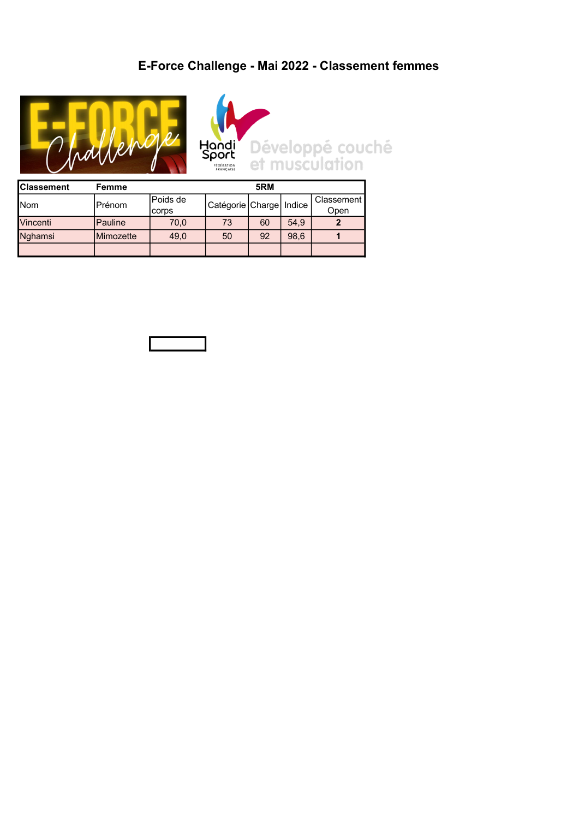## E-Force Challenge - Mai 2022 - Classement femmes





| <b>Classement</b> | Femme             |           | 5RM                       |    |      |              |  |  |
|-------------------|-------------------|-----------|---------------------------|----|------|--------------|--|--|
| Nom               | Prénom            | lPoids de | Catégorie Charge   Indice |    |      | Classement I |  |  |
|                   |                   | corps     |                           |    |      | Open         |  |  |
| <b>Vincenti</b>   | <b>Pauline</b>    | 70,0      | 73                        | 60 | 54,9 |              |  |  |
| Nghamsi           | <b>IMimozette</b> | 49.0      | 50                        | 92 | 98,6 |              |  |  |
|                   |                   |           |                           |    |      |              |  |  |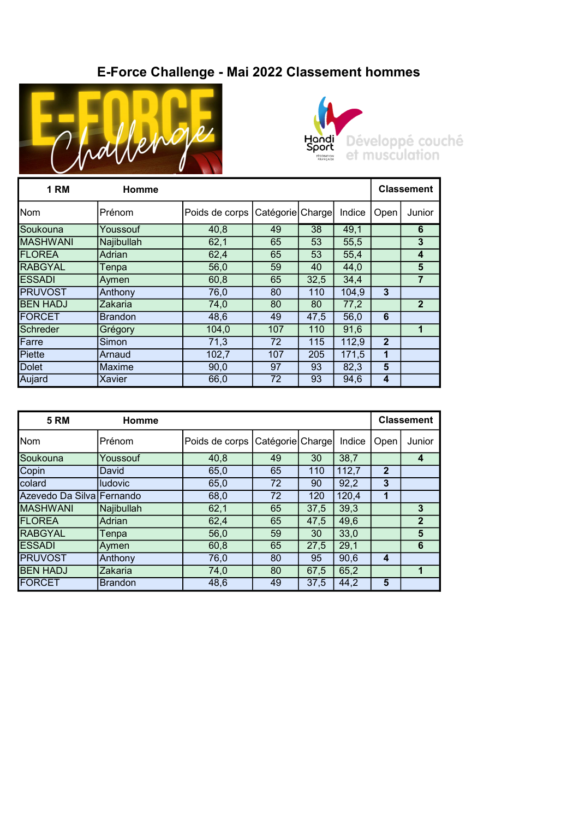## E-Force Challenge - Mai 2022 Classement hommes





| <b>1 RM</b>     | Homme          |                | <b>Classement</b> |      |        |                |                         |
|-----------------|----------------|----------------|-------------------|------|--------|----------------|-------------------------|
| Nom             | Prénom         | Poids de corps | Catégorie Charge  |      | Indice | Open           | Junior                  |
| Soukouna        | Youssouf       | 40,8           | 49                | 38   | 49,1   |                | 6                       |
| <b>MASHWANI</b> | Najibullah     | 62,1           | 65                | 53   | 55,5   |                | 3                       |
| <b>FLOREA</b>   | Adrian         | 62,4           | 65                | 53   | 55,4   |                | $\overline{\mathbf{4}}$ |
| <b>RABGYAL</b>  | Tenpa          | 56,0           | 59                | 40   | 44,0   |                | 5                       |
| <b>ESSADI</b>   | Aymen          | 60,8           | 65                | 32,5 | 34,4   |                | $\overline{7}$          |
| <b>PRUVOST</b>  | Anthony        | 76,0           | 80                | 110  | 104,9  | 3              |                         |
| <b>BEN HADJ</b> | Zakaria        | 74,0           | 80                | 80   | 77,2   |                | $\overline{2}$          |
| FORCET          | <b>Brandon</b> | 48,6           | 49                | 47,5 | 56,0   | 6              |                         |
| Schreder        | Grégory        | 104,0          | 107               | 110  | 91,6   |                | $\mathbf{1}$            |
| Farre           | Simon          | 71,3           | 72                | 115  | 112,9  | $\overline{2}$ |                         |
| Piette          | Arnaud         | 102,7          | 107               | 205  | 171,5  | 1              |                         |
| <b>Dolet</b>    | Maxime         | 90,0           | 97                | 93   | 82,3   | $5\phantom{1}$ |                         |
| Aujard          | Xavier         | 66,0           | 72                | 93   | 94,6   | 4              |                         |

| <b>5 RM</b>               | <b>Homme</b>   |                | <b>Classement</b> |      |        |                |              |
|---------------------------|----------------|----------------|-------------------|------|--------|----------------|--------------|
| Nom                       | Prénom         | Poids de corps | Catégorie Charge  |      | Indice | Open           | Junior       |
| Soukouna                  | Youssouf       | 40,8           | 49                | 30   | 38,7   |                | 4            |
| Copin                     | David          | 65,0           | 65                | 110  | 112,7  | $\overline{2}$ |              |
| colard                    | ludovic        | 65,0           | 72                | 90   | 92,2   | 3              |              |
| Azevedo Da Silva Fernando |                | 68,0           | 72                | 120  | 120,4  | 1              |              |
| <b>MASHWANI</b>           | Najibullah     | 62,1           | 65                | 37,5 | 39,3   |                | 3            |
| <b>FLOREA</b>             | Adrian         | 62,4           | 65                | 47,5 | 49,6   |                | $\mathbf{2}$ |
| <b>RABGYAL</b>            | Tenpa          | 56,0           | 59                | 30   | 33,0   |                | 5            |
| <b>ESSADI</b>             | Aymen          | 60,8           | 65                | 27,5 | 29,1   |                | 6            |
| <b>PRUVOST</b>            | Anthony        | 76,0           | 80                | 95   | 90,6   | 4              |              |
| <b>BEN HADJ</b>           | Zakaria        | 74,0           | 80                | 67,5 | 65,2   |                |              |
| <b>FORCET</b>             | <b>Brandon</b> | 48,6           | 49                | 37,5 | 44,2   | 5              |              |